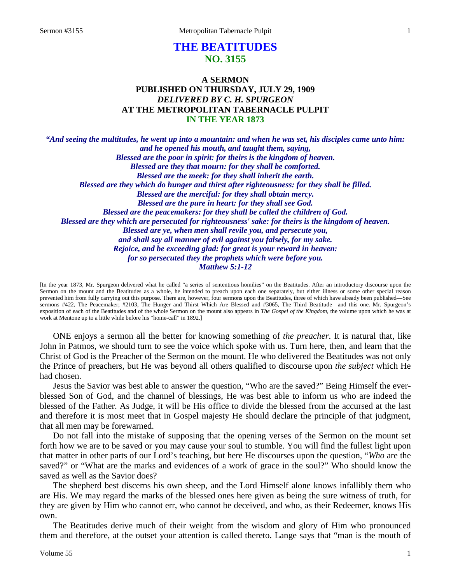# **THE BEATITUDES NO. 3155**

## **A SERMON PUBLISHED ON THURSDAY, JULY 29, 1909** *DELIVERED BY C. H. SPURGEON* **AT THE METROPOLITAN TABERNACLE PULPIT IN THE YEAR 1873**

*"And seeing the multitudes, he went up into a mountain: and when he was set, his disciples came unto him: and he opened his mouth, and taught them, saying, Blessed are the poor in spirit: for theirs is the kingdom of heaven. Blessed are they that mourn: for they shall be comforted. Blessed are the meek: for they shall inherit the earth. Blessed are they which do hunger and thirst after righteousness: for they shall be filled. Blessed are the merciful: for they shall obtain mercy. Blessed are the pure in heart: for they shall see God. Blessed are the peacemakers: for they shall be called the children of God. Blessed are they which are persecuted for righteousness' sake: for theirs is the kingdom of heaven. Blessed are ye, when men shall revile you, and persecute you, and shall say all manner of evil against you falsely, for my sake. Rejoice, and be exceeding glad: for great is your reward in heaven: for so persecuted they the prophets which were before you. Matthew 5:1-12*

[In the year 1873, Mr. Spurgeon delivered what he called "a series of sententious homilies" on the Beatitudes. After an introductory discourse upon the Sermon on the mount and the Beatitudes as a whole, he intended to preach upon each one separately, but either illness or some other special reason prevented him from fully carrying out this purpose. There are, however, four sermons upon the Beatitudes, three of which have already been published—See sermons #422, The Peacemaker; #2103, The Hunger and Thirst Which Are Blessed and #3065, The Third Beatitude—and this one. Mr. Spurgeon's exposition of each of the Beatitudes and of the whole Sermon on the mount also appears in *The Gospel of the Kingdom*, the volume upon which he was at work at Mentone up to a little while before his "home-call" in 1892.]

ONE enjoys a sermon all the better for knowing something of *the preacher*. It is natural that, like John in Patmos, we should turn to see the voice which spoke with us. Turn here, then, and learn that the Christ of God is the Preacher of the Sermon on the mount. He who delivered the Beatitudes was not only the Prince of preachers, but He was beyond all others qualified to discourse upon *the subject* which He had chosen.

Jesus the Savior was best able to answer the question, "Who are the saved?" Being Himself the everblessed Son of God, and the channel of blessings, He was best able to inform us who are indeed the blessed of the Father. As Judge, it will be His office to divide the blessed from the accursed at the last and therefore it is most meet that in Gospel majesty He should declare the principle of that judgment, that all men may be forewarned.

Do not fall into the mistake of supposing that the opening verses of the Sermon on the mount set forth how we are to be saved or you may cause your soul to stumble. You will find the fullest light upon that matter in other parts of our Lord's teaching, but here He discourses upon the question, "*Who* are the saved?" or "What are the marks and evidences of a work of grace in the soul?" Who should know the saved as well as the Savior does?

The shepherd best discerns his own sheep, and the Lord Himself alone knows infallibly them who are His. We may regard the marks of the blessed ones here given as being the sure witness of truth, for they are given by Him who cannot err, who cannot be deceived, and who, as their Redeemer, knows His own.

The Beatitudes derive much of their weight from the wisdom and glory of Him who pronounced them and therefore, at the outset your attention is called thereto. Lange says that "man is the mouth of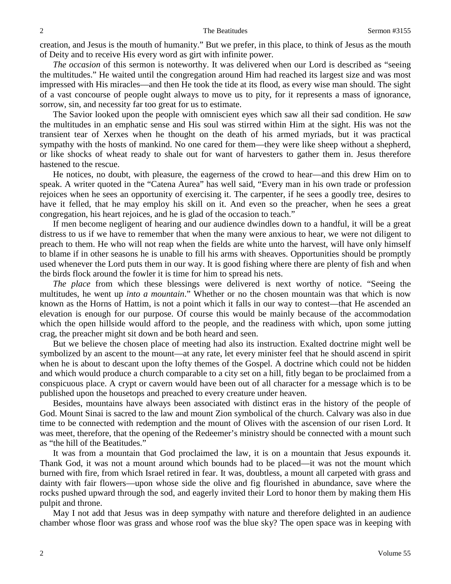creation, and Jesus is the mouth of humanity." But we prefer, in this place, to think of Jesus as the mouth of Deity and to receive His every word as girt with infinite power.

*The occasion* of this sermon is noteworthy. It was delivered when our Lord is described as "seeing the multitudes." He waited until the congregation around Him had reached its largest size and was most impressed with His miracles—and then He took the tide at its flood, as every wise man should. The sight of a vast concourse of people ought always to move us to pity, for it represents a mass of ignorance, sorrow, sin, and necessity far too great for us to estimate.

The Savior looked upon the people with omniscient eyes which saw all their sad condition. He *saw*  the multitudes in an emphatic sense and His soul was stirred within Him at the sight. His was not the transient tear of Xerxes when he thought on the death of his armed myriads, but it was practical sympathy with the hosts of mankind. No one cared for them—they were like sheep without a shepherd, or like shocks of wheat ready to shale out for want of harvesters to gather them in. Jesus therefore hastened to the rescue.

He notices, no doubt, with pleasure, the eagerness of the crowd to hear—and this drew Him on to speak. A writer quoted in the "Catena Aurea" has well said, "Every man in his own trade or profession rejoices when he sees an opportunity of exercising it. The carpenter, if he sees a goodly tree, desires to have it felled, that he may employ his skill on it. And even so the preacher, when he sees a great congregation, his heart rejoices, and he is glad of the occasion to teach."

If men become negligent of hearing and our audience dwindles down to a handful, it will be a great distress to us if we have to remember that when the many were anxious to hear, we were not diligent to preach to them. He who will not reap when the fields are white unto the harvest, will have only himself to blame if in other seasons he is unable to fill his arms with sheaves. Opportunities should be promptly used whenever the Lord puts them in our way. It is good fishing where there are plenty of fish and when the birds flock around the fowler it is time for him to spread his nets.

*The place* from which these blessings were delivered is next worthy of notice. "Seeing the multitudes, he went up *into a mountain*." Whether or no the chosen mountain was that which is now known as the Horns of Hattim, is not a point which it falls in our way to contest—that He ascended an elevation is enough for our purpose. Of course this would be mainly because of the accommodation which the open hillside would afford to the people, and the readiness with which, upon some jutting crag, the preacher might sit down and be both heard and seen.

But we believe the chosen place of meeting had also its instruction. Exalted doctrine might well be symbolized by an ascent to the mount—at any rate, let every minister feel that he should ascend in spirit when he is about to descant upon the lofty themes of the Gospel. A doctrine which could not be hidden and which would produce a church comparable to a city set on a hill, fitly began to be proclaimed from a conspicuous place. A crypt or cavern would have been out of all character for a message which is to be published upon the housetops and preached to every creature under heaven.

Besides, mountains have always been associated with distinct eras in the history of the people of God. Mount Sinai is sacred to the law and mount Zion symbolical of the church. Calvary was also in due time to be connected with redemption and the mount of Olives with the ascension of our risen Lord. It was meet, therefore, that the opening of the Redeemer's ministry should be connected with a mount such as "the hill of the Beatitudes."

It was from a mountain that God proclaimed the law, it is on a mountain that Jesus expounds it. Thank God, it was not a mount around which bounds had to be placed—it was not the mount which burned with fire, from which Israel retired in fear. It was, doubtless, a mount all carpeted with grass and dainty with fair flowers—upon whose side the olive and fig flourished in abundance, save where the rocks pushed upward through the sod, and eagerly invited their Lord to honor them by making them His pulpit and throne.

May I not add that Jesus was in deep sympathy with nature and therefore delighted in an audience chamber whose floor was grass and whose roof was the blue sky? The open space was in keeping with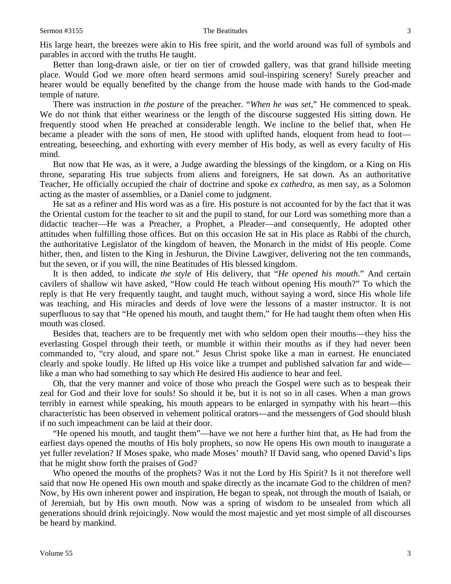His large heart, the breezes were akin to His free spirit, and the world around was full of symbols and parables in accord with the truths He taught.

Better than long-drawn aisle, or tier on tier of crowded gallery, was that grand hillside meeting place. Would God we more often heard sermons amid soul-inspiring scenery! Surely preacher and hearer would be equally benefited by the change from the house made with hands to the God-made temple of nature.

There was instruction in *the posture* of the preacher. "*When he was set*," He commenced to speak. We do not think that either weariness or the length of the discourse suggested His sitting down. He frequently stood when He preached at considerable length. We incline to the belief that, when He became a pleader with the sons of men, He stood with uplifted hands, eloquent from head to foot entreating, beseeching, and exhorting with every member of His body, as well as every faculty of His mind.

But now that He was, as it were, a Judge awarding the blessings of the kingdom, or a King on His throne, separating His true subjects from aliens and foreigners, He sat down. As an authoritative Teacher, He officially occupied the chair of doctrine and spoke *ex cathedra*, as men say, as a Solomon acting as the master of assemblies, or a Daniel come to judgment.

He sat as a refiner and His word was as a fire. His posture is not accounted for by the fact that it was the Oriental custom for the teacher to sit and the pupil to stand, for our Lord was something more than a didactic teacher—He was a Preacher, a Prophet, a Pleader—and consequently, He adopted other attitudes when fulfilling those offices. But on this occasion He sat in His place as Rabbi of the church, the authoritative Legislator of the kingdom of heaven, the Monarch in the midst of His people. Come hither, then, and listen to the King in Jeshurun, the Divine Lawgiver, delivering not the ten commands, but the seven, or if you will, the nine Beatitudes of His blessed kingdom.

It is then added, to indicate *the style* of His delivery, that "*He opened his mouth*." And certain cavilers of shallow wit have asked, "How could He teach without opening His mouth?" To which the reply is that He very frequently taught, and taught much, without saying a word, since His whole life was teaching, and His miracles and deeds of love were the lessons of a master instructor. It is not superfluous to say that "He opened his mouth, and taught them," for He had taught them often when His mouth was closed.

Besides that, teachers are to be frequently met with who seldom open their mouths—they hiss the everlasting Gospel through their teeth, or mumble it within their mouths as if they had never been commanded to, "cry aloud, and spare not." Jesus Christ spoke like a man in earnest. He enunciated clearly and spoke loudly. He lifted up His voice like a trumpet and published salvation far and wide like a man who had something to say which He desired His audience to hear and feel.

Oh, that the very manner and voice of those who preach the Gospel were such as to bespeak their zeal for God and their love for souls! So should it be, but it is not so in all cases. When a man grows terribly in earnest while speaking, his mouth appears to be enlarged in sympathy with his heart—this characteristic has been observed in vehement political orators—and the messengers of God should blush if no such impeachment can be laid at their door.

"He opened his mouth, and taught them"—have we not here a further hint that, as He had from the earliest days opened the mouths of His holy prophets, so now He opens His own mouth to inaugurate a yet fuller revelation? If Moses spake, who made Moses' mouth? If David sang, who opened David's lips that he might show forth the praises of God?

Who opened the mouths of the prophets? Was it not the Lord by His Spirit? Is it not therefore well said that now He opened His own mouth and spake directly as the incarnate God to the children of men? Now, by His own inherent power and inspiration, He began to speak, not through the mouth of Isaiah, or of Jeremiah, but by His own mouth. Now was a spring of wisdom to be unsealed from which all generations should drink rejoicingly. Now would the most majestic and yet most simple of all discourses be heard by mankind.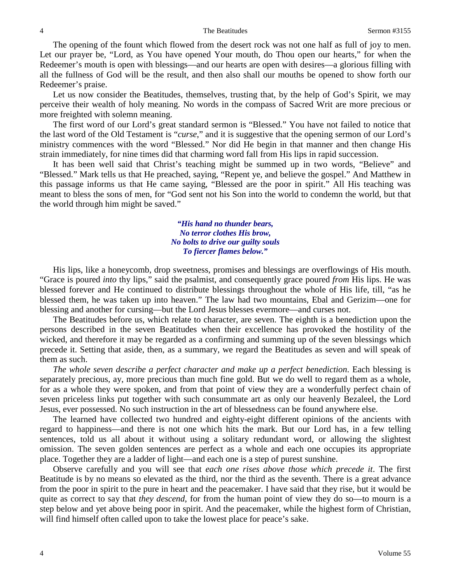The opening of the fount which flowed from the desert rock was not one half as full of joy to men. Let our prayer be, "Lord, as You have opened Your mouth, do Thou open our hearts," for when the Redeemer's mouth is open with blessings—and our hearts are open with desires—a glorious filling with all the fullness of God will be the result, and then also shall our mouths be opened to show forth our Redeemer's praise.

Let us now consider the Beatitudes, themselves, trusting that, by the help of God's Spirit, we may perceive their wealth of holy meaning. No words in the compass of Sacred Writ are more precious or more freighted with solemn meaning.

The first word of our Lord's great standard sermon is "Blessed." You have not failed to notice that the last word of the Old Testament is "*curse*," and it is suggestive that the opening sermon of our Lord's ministry commences with the word "Blessed." Nor did He begin in that manner and then change His strain immediately, for nine times did that charming word fall from His lips in rapid succession.

It has been well said that Christ's teaching might be summed up in two words, "Believe" and "Blessed." Mark tells us that He preached, saying, "Repent ye, and believe the gospel." And Matthew in this passage informs us that He came saying, "Blessed are the poor in spirit." All His teaching was meant to bless the sons of men, for "God sent not his Son into the world to condemn the world, but that the world through him might be saved."

> *"His hand no thunder bears, No terror clothes His brow, No bolts to drive our guilty souls To fiercer flames below."*

His lips, like a honeycomb, drop sweetness, promises and blessings are overflowings of His mouth. "Grace is poured *into* thy lips," said the psalmist, and consequently grace poured *from* His lips. He was blessed forever and He continued to distribute blessings throughout the whole of His life, till, "as he blessed them, he was taken up into heaven." The law had two mountains, Ebal and Gerizim—one for blessing and another for cursing—but the Lord Jesus blesses evermore—and curses not.

The Beatitudes before us, which relate to character, are seven. The eighth is a benediction upon the persons described in the seven Beatitudes when their excellence has provoked the hostility of the wicked, and therefore it may be regarded as a confirming and summing up of the seven blessings which precede it. Setting that aside, then, as a summary, we regard the Beatitudes as seven and will speak of them as such.

*The whole seven describe a perfect character and make up a perfect benediction*. Each blessing is separately precious, ay, more precious than much fine gold. But we do well to regard them as a whole, for as a whole they were spoken, and from that point of view they are a wonderfully perfect chain of seven priceless links put together with such consummate art as only our heavenly Bezaleel, the Lord Jesus, ever possessed. No such instruction in the art of blessedness can be found anywhere else.

The learned have collected two hundred and eighty-eight different opinions of the ancients with regard to happiness—and there is not one which hits the mark. But our Lord has, in a few telling sentences, told us all about it without using a solitary redundant word, or allowing the slightest omission. The seven golden sentences are perfect as a whole and each one occupies its appropriate place. Together they are a ladder of light—and each one is a step of purest sunshine.

Observe carefully and you will see that *each one rises above those which precede it*. The first Beatitude is by no means so elevated as the third, nor the third as the seventh. There is a great advance from the poor in spirit to the pure in heart and the peacemaker. I have said that they rise, but it would be quite as correct to say that *they descend*, for from the human point of view they do so—to mourn is a step below and yet above being poor in spirit. And the peacemaker, while the highest form of Christian, will find himself often called upon to take the lowest place for peace's sake.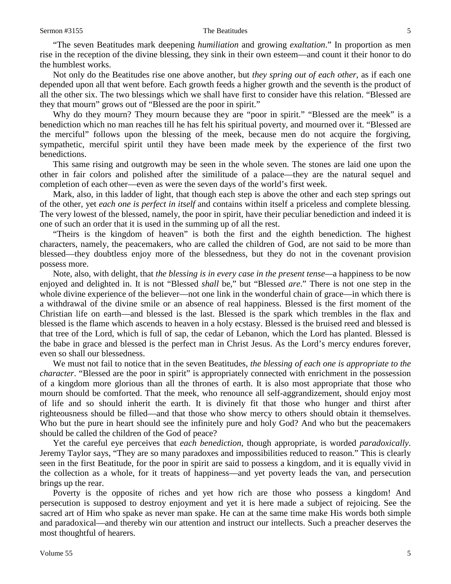"The seven Beatitudes mark deepening *humiliation* and growing *exaltation*." In proportion as men rise in the reception of the divine blessing, they sink in their own esteem—and count it their honor to do the humblest works.

Not only do the Beatitudes rise one above another, but *they spring out of each other*, as if each one depended upon all that went before. Each growth feeds a higher growth and the seventh is the product of all the other six. The two blessings which we shall have first to consider have this relation. "Blessed are they that mourn" grows out of "Blessed are the poor in spirit."

Why do they mourn? They mourn because they are "poor in spirit." "Blessed are the meek" is a benediction which no man reaches till he has felt his spiritual poverty, and mourned over it. "Blessed are the merciful" follows upon the blessing of the meek, because men do not acquire the forgiving, sympathetic, merciful spirit until they have been made meek by the experience of the first two benedictions.

This same rising and outgrowth may be seen in the whole seven. The stones are laid one upon the other in fair colors and polished after the similitude of a palace—they are the natural sequel and completion of each other—even as were the seven days of the world's first week.

Mark, also, in this ladder of light, that though each step is above the other and each step springs out of the other, yet *each one is perfect in itself* and contains within itself a priceless and complete blessing. The very lowest of the blessed, namely, the poor in spirit, have their peculiar benediction and indeed it is one of such an order that it is used in the summing up of all the rest.

"Theirs is the kingdom of heaven" is both the first and the eighth benediction. The highest characters, namely, the peacemakers, who are called the children of God, are not said to be more than blessed—they doubtless enjoy more of the blessedness, but they do not in the covenant provision possess more.

Note, also, with delight, that *the blessing is in every case in the present tense—*a happiness to be now enjoyed and delighted in. It is not "Blessed *shall* be," but "Blessed *are*." There is not one step in the whole divine experience of the believer—not one link in the wonderful chain of grace—in which there is a withdrawal of the divine smile or an absence of real happiness. Blessed is the first moment of the Christian life on earth—and blessed is the last. Blessed is the spark which trembles in the flax and blessed is the flame which ascends to heaven in a holy ecstasy. Blessed is the bruised reed and blessed is that tree of the Lord, which is full of sap, the cedar of Lebanon, which the Lord has planted. Blessed is the babe in grace and blessed is the perfect man in Christ Jesus. As the Lord's mercy endures forever, even so shall our blessedness.

We must not fail to notice that in the seven Beatitudes, *the blessing of each one is appropriate to the character*. "Blessed are the poor in spirit" is appropriately connected with enrichment in the possession of a kingdom more glorious than all the thrones of earth. It is also most appropriate that those who mourn should be comforted. That the meek, who renounce all self-aggrandizement, should enjoy most of life and so should inherit the earth. It is divinely fit that those who hunger and thirst after righteousness should be filled—and that those who show mercy to others should obtain it themselves. Who but the pure in heart should see the infinitely pure and holy God? And who but the peacemakers should be called the children of the God of peace?

Yet the careful eye perceives that *each benediction*, though appropriate, is worded *paradoxically*. Jeremy Taylor says, "They are so many paradoxes and impossibilities reduced to reason." This is clearly seen in the first Beatitude, for the poor in spirit are said to possess a kingdom, and it is equally vivid in the collection as a whole, for it treats of happiness—and yet poverty leads the van, and persecution brings up the rear.

Poverty is the opposite of riches and yet how rich are those who possess a kingdom! And persecution is supposed to destroy enjoyment and yet it is here made a subject of rejoicing. See the sacred art of Him who spake as never man spake. He can at the same time make His words both simple and paradoxical—and thereby win our attention and instruct our intellects. Such a preacher deserves the most thoughtful of hearers.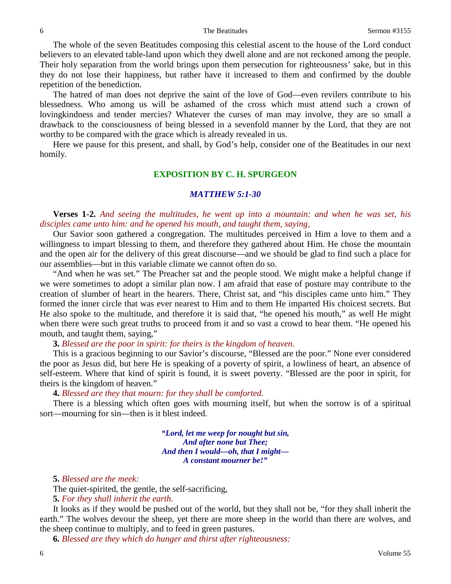The whole of the seven Beatitudes composing this celestial ascent to the house of the Lord conduct believers to an elevated table-land upon which they dwell alone and are not reckoned among the people. Their holy separation from the world brings upon them persecution for righteousness' sake, but in this they do not lose their happiness, but rather have it increased to them and confirmed by the double repetition of the benediction.

The hatred of man does not deprive the saint of the love of God—even revilers contribute to his blessedness. Who among us will be ashamed of the cross which must attend such a crown of lovingkindness and tender mercies? Whatever the curses of man may involve, they are so small a drawback to the consciousness of being blessed in a sevenfold manner by the Lord, that they are not worthy to be compared with the grace which is already revealed in us.

Here we pause for this present, and shall, by God's help, consider one of the Beatitudes in our next homily.

## **EXPOSITION BY C. H. SPURGEON**

## *MATTHEW 5:1-30*

**Verses 1-2.** *And seeing the multitudes, he went up into a mountain: and when he was set, his disciples came unto him: and he opened his mouth, and taught them, saying,*

Our Savior soon gathered a congregation. The multitudes perceived in Him a love to them and a willingness to impart blessing to them, and therefore they gathered about Him. He chose the mountain and the open air for the delivery of this great discourse—and we should be glad to find such a place for our assemblies—but in this variable climate we cannot often do so.

"And when he was set." The Preacher sat and the people stood. We might make a helpful change if we were sometimes to adopt a similar plan now. I am afraid that ease of posture may contribute to the creation of slumber of heart in the hearers. There, Christ sat, and "his disciples came unto him." They formed the inner circle that was ever nearest to Him and to them He imparted His choicest secrets. But He also spoke to the multitude, and therefore it is said that, "he opened his mouth," as well He might when there were such great truths to proceed from it and so vast a crowd to hear them. "He opened his mouth, and taught them, saying,"

## **3.** *Blessed are the poor in spirit: for theirs is the kingdom of heaven.*

This is a gracious beginning to our Savior's discourse, "Blessed are the poor." None ever considered the poor as Jesus did, but here He is speaking of a poverty of spirit, a lowliness of heart, an absence of self-esteem. Where that kind of spirit is found, it is sweet poverty. "Blessed are the poor in spirit, for theirs is the kingdom of heaven."

## **4.** *Blessed are they that mourn: for they shall be comforted.*

There is a blessing which often goes with mourning itself, but when the sorrow is of a spiritual sort—mourning for sin—then is it blest indeed.

> *"Lord, let me weep for nought but sin, And after none but Thee; And then I would—oh, that I might— A constant mourner be!"*

**5.** *Blessed are the meek:*

The quiet-spirited, the gentle, the self-sacrificing,

**5.** *For they shall inherit the earth.* 

It looks as if they would be pushed out of the world, but they shall not be, "for they shall inherit the earth." The wolves devour the sheep, yet there are more sheep in the world than there are wolves, and the sheep continue to multiply, and to feed in green pastures.

**6.** *Blessed are they which do hunger and thirst after righteousness:*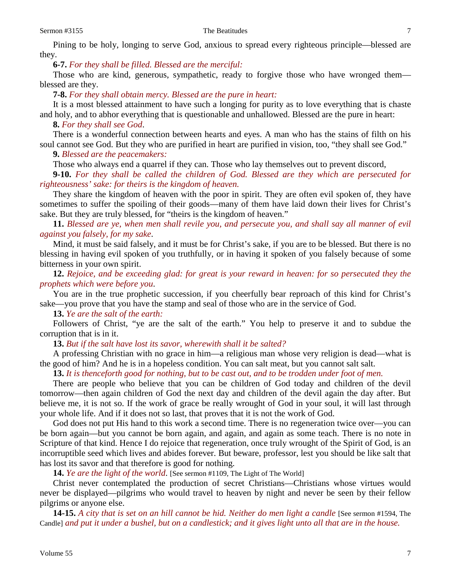### Sermon #3155 The Beatitudes 7

Pining to be holy, longing to serve God, anxious to spread every righteous principle—blessed are they.

**6-7.** *For they shall be filled. Blessed are the merciful:*

Those who are kind, generous, sympathetic, ready to forgive those who have wronged them blessed are they.

**7-8.** *For they shall obtain mercy. Blessed are the pure in heart:*

It is a most blessed attainment to have such a longing for purity as to love everything that is chaste and holy, and to abhor everything that is questionable and unhallowed. Blessed are the pure in heart:

**8.** *For they shall see God*.

There is a wonderful connection between hearts and eyes. A man who has the stains of filth on his soul cannot see God. But they who are purified in heart are purified in vision, too, "they shall see God." **9.** *Blessed are the peacemakers:*

Those who always end a quarrel if they can. Those who lay themselves out to prevent discord,

**9-10.** *For they shall be called the children of God. Blessed are they which are persecuted for righteousness' sake: for theirs is the kingdom of heaven.*

They share the kingdom of heaven with the poor in spirit. They are often evil spoken of, they have sometimes to suffer the spoiling of their goods—many of them have laid down their lives for Christ's sake. But they are truly blessed, for "theirs is the kingdom of heaven."

**11.** *Blessed are ye, when men shall revile you, and persecute you, and shall say all manner of evil against you falsely, for my sake*.

Mind, it must be said falsely, and it must be for Christ's sake, if you are to be blessed. But there is no blessing in having evil spoken of you truthfully, or in having it spoken of you falsely because of some bitterness in your own spirit.

**12.** *Rejoice, and be exceeding glad: for great is your reward in heaven: for so persecuted they the prophets which were before you*.

You are in the true prophetic succession, if you cheerfully bear reproach of this kind for Christ's sake—you prove that you have the stamp and seal of those who are in the service of God.

**13.** *Ye are the salt of the earth:*

Followers of Christ, "ye are the salt of the earth." You help to preserve it and to subdue the corruption that is in it.

**13.** *But if the salt have lost its savor, wherewith shall it be salted?*

A professing Christian with no grace in him—a religious man whose very religion is dead—what is the good of him? And he is in a hopeless condition. You can salt meat, but you cannot salt salt.

**13.** *It is thenceforth good for nothing, but to be cast out, and to be trodden under foot of men.*

There are people who believe that you can be children of God today and children of the devil tomorrow—then again children of God the next day and children of the devil again the day after. But believe me, it is not so. If the work of grace be really wrought of God in your soul, it will last through your whole life. And if it does not so last, that proves that it is not the work of God.

God does not put His hand to this work a second time. There is no regeneration twice over—you can be born again—but you cannot be born again, and again, and again as some teach. There is no note in Scripture of that kind. Hence I do rejoice that regeneration, once truly wrought of the Spirit of God, is an incorruptible seed which lives and abides forever. But beware, professor, lest you should be like salt that has lost its savor and that therefore is good for nothing.

**14.** *Ye are the light of the world*. [See sermon #1109, The Light of The World]

Christ never contemplated the production of secret Christians—Christians whose virtues would never be displayed—pilgrims who would travel to heaven by night and never be seen by their fellow pilgrims or anyone else.

**14-15.** *A city that is set on an hill cannot be hid. Neither do men light a candle* [See sermon #1594, The Candle] *and put it under a bushel, but on a candlestick; and it gives light unto all that are in the house.*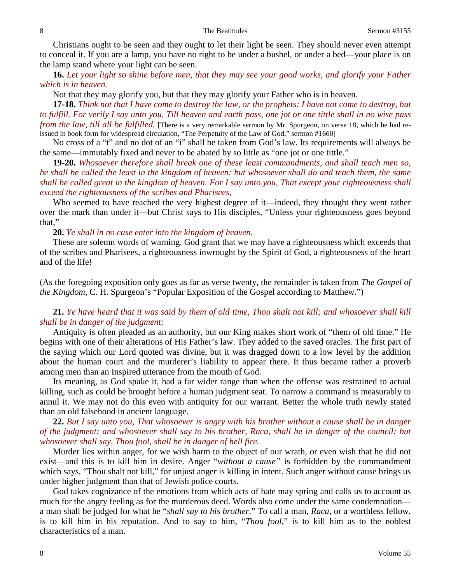Christians ought to be seen and they ought to let their light be seen. They should never even attempt to conceal it. If you are a lamp, you have no right to be under a bushel, or under a bed—your place is on the lamp stand where your light can be seen.

**16.** *Let your light so shine before men, that they may see your good works, and glorify your Father which is in heaven.* 

Not that they may glorify you, but that they may glorify your Father who is in heaven.

**17-18.** *Think not that I have come to destroy the law, or the prophets: I have not come to destroy, but to fulfill. For verily I say unto you, Till heaven and earth pass, one jot or one tittle shall in no wise pass from the law, till all be fulfilled.* [There is a very remarkable sermon by Mr. Spurgeon, on verse 18, which he had reissued in book form for widespread circulation, "The Perpetuity of the Law of God," sermon #1660]

No cross of a "t" and no dot of an "i" shall be taken from God's law. Its requirements will always be the same—immutably fixed and never to be abated by so little as "one jot or one tittle."

**19-20.** *Whosoever therefore shall break one of these least commandments, and shall teach men so, he shall be called the least in the kingdom of heaven: but whosoever shall do and teach them, the same shall be called great in the kingdom of heaven. For I say unto you, That except your righteousness shall exceed the righteousness of the scribes and Pharisees,*

Who seemed to have reached the very highest degree of it—indeed, they thought they went rather over the mark than under it—but Christ says to His disciples, "Unless your righteousness goes beyond that,"

### **20.** *Ye shall in no case enter into the kingdom of heaven.*

These are solemn words of warning. God grant that we may have a righteousness which exceeds that of the scribes and Pharisees, a righteousness inwrought by the Spirit of God, a righteousness of the heart and of the life!

(As the foregoing exposition only goes as far as verse twenty, the remainder is taken from *The Gospel of the Kingdom*, C. H. Spurgeon's "Popular Exposition of the Gospel according to Matthew.")

## **21.** *Ye have heard that it was said by them of old time, Thou shalt not kill; and whosoever shall kill shall be in danger of the judgment:*

Antiquity is often pleaded as an authority, but our King makes short work of "them of old time." He begins with one of their alterations of His Father's law. They added to the saved oracles. The first part of the saying which our Lord quoted was divine, but it was dragged down to a low level by the addition about the human court and the murderer's liability to appear there. It thus became rather a proverb among men than an Inspired utterance from the mouth of God.

Its meaning, as God spake it, had a far wider range than when the offense was restrained to actual killing, such as could be brought before a human judgment seat. To narrow a command is measurably to annul it. We may not do this even with antiquity for our warrant. Better the whole truth newly stated than an old falsehood in ancient language.

## **22.** *But I say unto you, That whosoever is angry with his brother without a cause shall be in danger of the judgment: and whosoever shall say to his brother, Raca, shall be in danger of the council: but whosoever shall say, Thou fool, shall be in danger of hell fire.*

Murder lies within anger, for we wish harm to the object of our wrath, or even wish that he did not exist—and this is to kill him in desire. Anger "*without a cause"* is forbidden by the commandment which says, "Thou shalt not kill," for unjust anger is killing in intent. Such anger without cause brings us under higher judgment than that of Jewish police courts.

God takes cognizance of the emotions from which acts of hate may spring and calls us to account as much for the angry feeling as for the murderous deed. Words also come under the same condemnation a man shall be judged for what he "*shall say to his brother*." To call a man, *Raca*, or a worthless fellow, is to kill him in his reputation. And to say to him, "*Thou fool*," is to kill him as to the noblest characteristics of a man.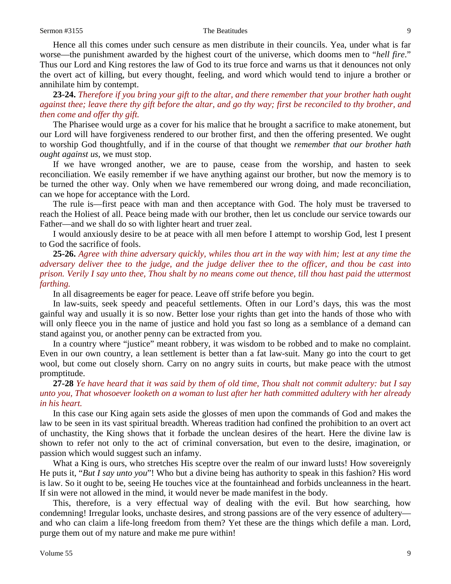Hence all this comes under such censure as men distribute in their councils. Yea, under what is far worse—the punishment awarded by the highest court of the universe, which dooms men to "*hell fire*." Thus our Lord and King restores the law of God to its true force and warns us that it denounces not only the overt act of killing, but every thought, feeling, and word which would tend to injure a brother or annihilate him by contempt.

**23-24.** *Therefore if you bring your gift to the altar, and there remember that your brother hath ought against thee; leave there thy gift before the altar, and go thy way; first be reconciled to thy brother, and then come and offer thy gift.*

The Pharisee would urge as a cover for his malice that he brought a sacrifice to make atonement, but our Lord will have forgiveness rendered to our brother first, and then the offering presented. We ought to worship God thoughtfully, and if in the course of that thought we *remember that our brother hath ought against us*, we must stop.

If we have wronged another, we are to pause, cease from the worship, and hasten to seek reconciliation. We easily remember if we have anything against our brother, but now the memory is to be turned the other way. Only when we have remembered our wrong doing, and made reconciliation, can we hope for acceptance with the Lord.

The rule is—first peace with man and then acceptance with God. The holy must be traversed to reach the Holiest of all. Peace being made with our brother, then let us conclude our service towards our Father—and we shall do so with lighter heart and truer zeal.

I would anxiously desire to be at peace with all men before I attempt to worship God, lest I present to God the sacrifice of fools.

**25-26.** *Agree with thine adversary quickly, whiles thou art in the way with him; lest at any time the adversary deliver thee to the judge, and the judge deliver thee to the officer, and thou be cast into prison. Verily I say unto thee, Thou shalt by no means come out thence, till thou hast paid the uttermost farthing.*

In all disagreements be eager for peace. Leave off strife before you begin.

In law-suits, seek speedy and peaceful settlements. Often in our Lord's days, this was the most gainful way and usually it is so now. Better lose your rights than get into the hands of those who with will only fleece you in the name of justice and hold you fast so long as a semblance of a demand can stand against you, or another penny can be extracted from you.

In a country where "justice" meant robbery, it was wisdom to be robbed and to make no complaint. Even in our own country, a lean settlement is better than a fat law-suit. Many go into the court to get wool, but come out closely shorn. Carry on no angry suits in courts, but make peace with the utmost promptitude.

**27-28** *Ye have heard that it was said by them of old time, Thou shalt not commit adultery: but I say unto you, That whosoever looketh on a woman to lust after her hath committed adultery with her already in his heart.*

In this case our King again sets aside the glosses of men upon the commands of God and makes the law to be seen in its vast spiritual breadth. Whereas tradition had confined the prohibition to an overt act of unchastity, the King shows that it forbade the unclean desires of the heart. Here the divine law is shown to refer not only to the act of criminal conversation, but even to the desire, imagination, or passion which would suggest such an infamy.

What a King is ours, who stretches His sceptre over the realm of our inward lusts! How sovereignly He puts it, "*But I say unto you*"! Who but a divine being has authority to speak in this fashion? His word is law. So it ought to be, seeing He touches vice at the fountainhead and forbids uncleanness in the heart. If sin were not allowed in the mind, it would never be made manifest in the body.

This, therefore, is a very effectual way of dealing with the evil. But how searching, how condemning! Irregular looks, unchaste desires, and strong passions are of the very essence of adultery and who can claim a life-long freedom from them? Yet these are the things which defile a man. Lord, purge them out of my nature and make me pure within!